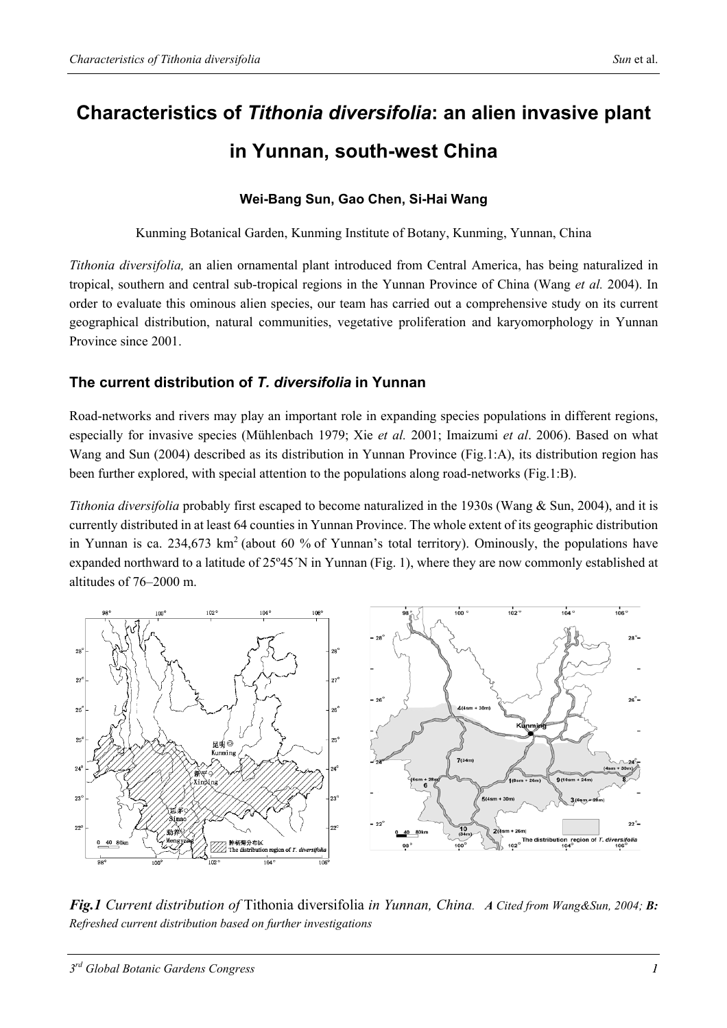# **Characteristics of** *Tithonia diversifolia***: an alien invasive plant in Yunnan, south-west China**

#### **Wei-Bang Sun, Gao Chen, Si-Hai Wang**

Kunming Botanical Garden, Kunming Institute of Botany, Kunming, Yunnan, China

*Tithonia diversifolia,* an alien ornamental plant introduced from Central America, has being naturalized in tropical, southern and central sub-tropical regions in the Yunnan Province of China (Wang *et al.* 2004). In order to evaluate this ominous alien species, our team has carried out a comprehensive study on its current geographical distribution, natural communities, vegetative proliferation and karyomorphology in Yunnan Province since 2001.

#### **The current distribution of** *T. diversifolia* **in Yunnan**

Road-networks and rivers may play an important role in expanding species populations in different regions, especially for invasive species (Mühlenbach 1979; Xie *et al.* 2001; Imaizumi *et al*. 2006). Based on what Wang and Sun (2004) described as its distribution in Yunnan Province (Fig.1:A), its distribution region has been further explored, with special attention to the populations along road-networks (Fig.1:B).

*Tithonia diversifolia* probably first escaped to become naturalized in the 1930s (Wang & Sun, 2004), and it is currently distributed in at least 64 counties in Yunnan Province. The whole extent of its geographic distribution in Yunnan is ca. 234,673 km<sup>2</sup> (about 60 % of Yunnan's total territory). Ominously, the populations have expanded northward to a latitude of 25º45´N in Yunnan (Fig. 1), where they are now commonly established at altitudes of 76–2000 m.



*Fig.1 Current distribution of* Tithonia diversifolia *in Yunnan, China. A Cited from Wang&Sun, 2004; B: Refreshed current distribution based on further investigations*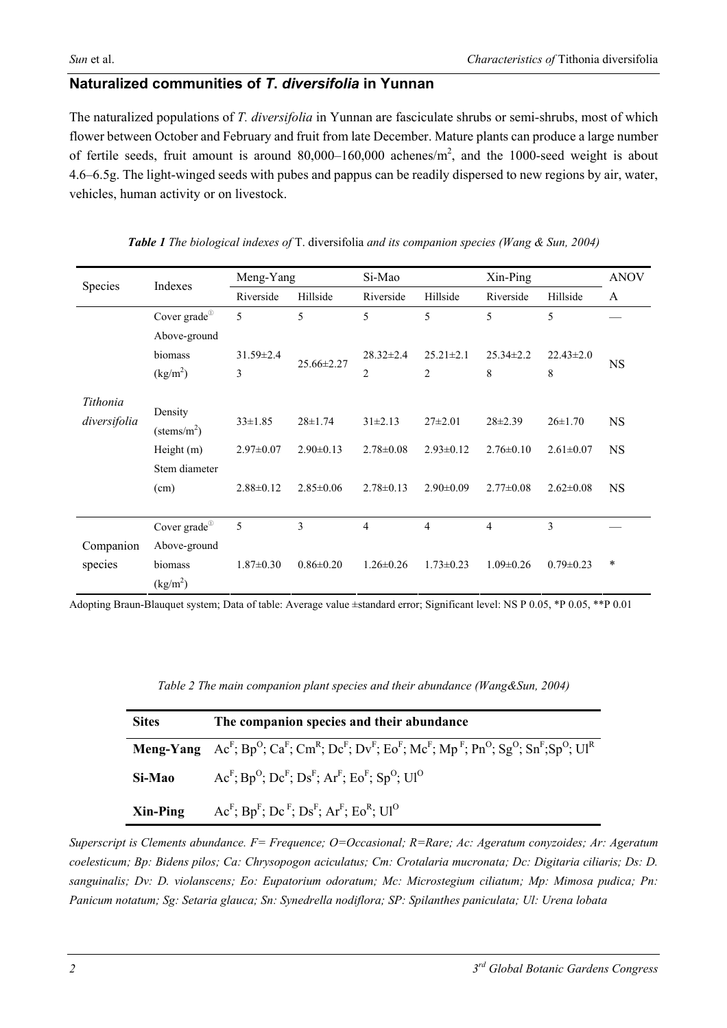#### **Naturalized communities of** *T***.** *diversifolia* **in Yunnan**

The naturalized populations of *T. diversifolia* in Yunnan are fasciculate shrubs or semi-shrubs, most of which flower between October and February and fruit from late December. Mature plants can produce a large number of fertile seeds, fruit amount is around  $80,000-160,000$  achenes/m<sup>2</sup>, and the 1000-seed weight is about 4.6–6.5g. The light-winged seeds with pubes and pappus can be readily dispersed to new regions by air, water, vehicles, human activity or on livestock.

| Species      | Indexes                   | Meng-Yang       |                  | Si-Mao          |                 | $X$ in-Ping     |                 | <b>ANOV</b> |
|--------------|---------------------------|-----------------|------------------|-----------------|-----------------|-----------------|-----------------|-------------|
|              |                           | Riverside       | Hillside         | Riverside       | Hillside        | Riverside       | Hillside        | A           |
|              | Cover grade <sup>10</sup> | 5               | 5                | 5               | 5               | 5               | 5               |             |
|              | Above-ground              |                 |                  |                 |                 |                 |                 |             |
|              | biomass                   | $31.59 \pm 2.4$ | $25.66 \pm 2.27$ | $28.32 \pm 2.4$ | $25.21 \pm 2.1$ | $25.34 \pm 2.2$ | $22.43 \pm 2.0$ | NS          |
|              | (kg/m <sup>2</sup> )      | 3               |                  | $\overline{2}$  | $\overline{2}$  | 8               | 8               |             |
|              |                           |                 |                  |                 |                 |                 |                 |             |
| Tithonia     | Density                   |                 |                  |                 |                 |                 |                 |             |
| diversifolia | $(\text{stems/m}^2)$      | $33 \pm 1.85$   | $28 \pm 1.74$    | $31 \pm 2.13$   | $27\pm2.01$     | $28 \pm 2.39$   | $26 \pm 1.70$   | <b>NS</b>   |
|              | Height (m)                | $2.97 \pm 0.07$ | $2.90 \pm 0.13$  | $2.78 \pm 0.08$ | $2.93 \pm 0.12$ | $2.76 \pm 0.10$ | $2.61 \pm 0.07$ | <b>NS</b>   |
|              | Stem diameter             |                 |                  |                 |                 |                 |                 |             |
|              | (cm)                      | $2.88 \pm 0.12$ | $2.85 \pm 0.06$  | $2.78 \pm 0.13$ | $2.90 \pm 0.09$ | $2.77 \pm 0.08$ | $2.62 \pm 0.08$ | <b>NS</b>   |
|              |                           |                 |                  |                 |                 |                 |                 |             |
|              | Cover grade <sup>10</sup> | 5               | 3                | $\overline{4}$  | 4               | $\overline{4}$  | 3               |             |
| Companion    | Above-ground              |                 |                  |                 |                 |                 |                 |             |
| species      | biomass                   | $1.87 \pm 0.30$ | $0.86 \pm 0.20$  | $1.26 \pm 0.26$ | $1.73 \pm 0.23$ | $1.09 \pm 0.26$ | $0.79 \pm 0.23$ | $\ast$      |
|              | (kg/m <sup>2</sup> )      |                 |                  |                 |                 |                 |                 |             |

*Table 1 The biological indexes of* T. diversifolia *and its companion species (Wang & Sun, 2004)* 

Adopting Braun-Blauquet system; Data of table: Average value ±standard error; Significant level: NS P 0.05, \*P 0.05, \*\*P 0.01

*Table 2 The main companion plant species and their abundance (Wang&Sun, 2004)* 

| <b>Sites</b> | The companion species and their abundance                                                                                                    |  |  |  |
|--------------|----------------------------------------------------------------------------------------------------------------------------------------------|--|--|--|
|              | <b>Meng-Yang</b> $Ac^F$ ; $Bp^O$ ; $Ca^F$ ; $Cm^R$ ; $Dc^F$ ; $Dv^F$ ; $Eo^F$ ; $Mc^F$ ; $Mp^F$ ; $Pn^O$ ; $Sg^O$ ; $Sn^F$ ; $Sp^O$ ; $UI^R$ |  |  |  |
| Si-Mao       | $AcF$ ; $BpO$ ; $DcF$ ; $DsF$ ; $ArF$ ; $EoF$ ; $SpO$ ; $UIO$                                                                                |  |  |  |
| Xin-Ping     | $AcF$ ; Bp <sup>F</sup> ; Dc <sup>F</sup> ; Ds <sup>F</sup> ; Ar <sup>F</sup> ; Eo <sup>R</sup> ; Ul <sup>O</sup>                            |  |  |  |

*Superscript is Clements abundance. F= Frequence; O=Occasional; R=Rare; Ac: Ageratum conyzoides; Ar: Ageratum coelesticum; Bp: Bidens pilos; Ca: Chrysopogon aciculatus; Cm: Crotalaria mucronata; Dc: Digitaria ciliaris; Ds: D. sanguinalis; Dv: D. violanscens; Eo: Eupatorium odoratum; Mc: Microstegium ciliatum; Mp: Mimosa pudica; Pn: Panicum notatum; Sg: Setaria glauca; Sn: Synedrella nodiflora; SP: Spilanthes paniculata; Ul: Urena lobata*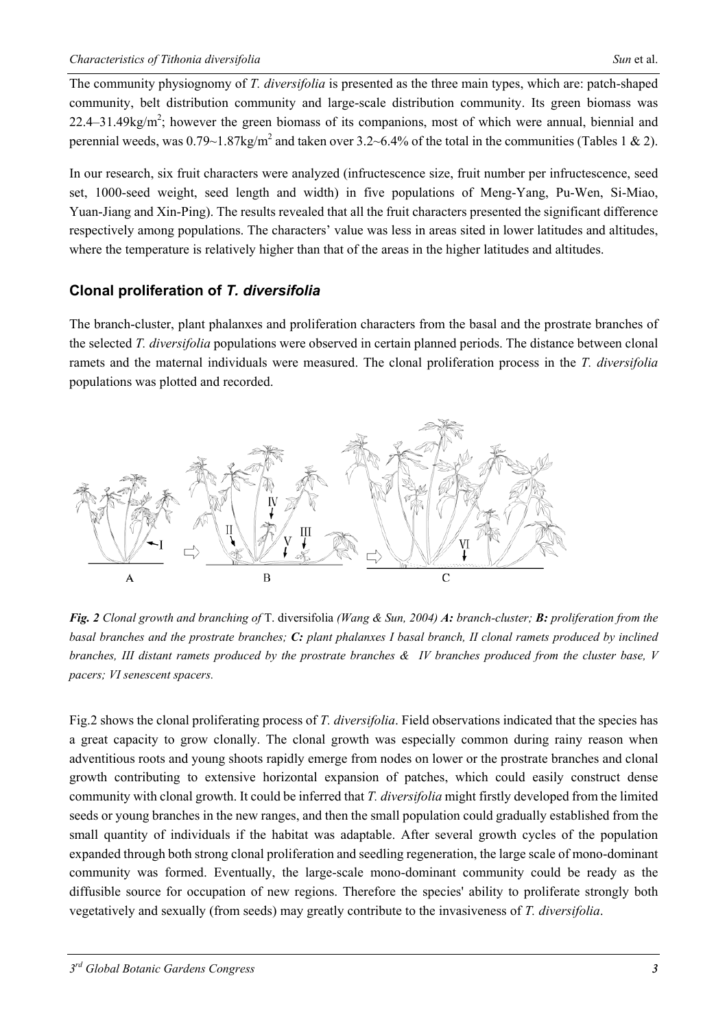The community physiognomy of *T. diversifolia* is presented as the three main types, which are: patch-shaped community, belt distribution community and large-scale distribution community. Its green biomass was  $22.4 - 31.49$ kg/m<sup>2</sup>; however the green biomass of its companions, most of which were annual, biennial and perennial weeds, was  $0.79 \sim 1.87 \text{kg/m}^2$  and taken over  $3.2 \sim 6.4\%$  of the total in the communities (Tables 1 & 2).

In our research, six fruit characters were analyzed (infructescence size, fruit number per infructescence, seed set, 1000-seed weight, seed length and width) in five populations of Meng-Yang, Pu-Wen, Si-Miao, Yuan-Jiang and Xin-Ping). The results revealed that all the fruit characters presented the significant difference respectively among populations. The characters' value was less in areas sited in lower latitudes and altitudes, where the temperature is relatively higher than that of the areas in the higher latitudes and altitudes.

### **Clonal proliferation of** *T. diversifolia*

The branch-cluster, plant phalanxes and proliferation characters from the basal and the prostrate branches of the selected *T. diversifolia* populations were observed in certain planned periods. The distance between clonal ramets and the maternal individuals were measured. The clonal proliferation process in the *T. diversifolia* populations was plotted and recorded.



*Fig. 2 Clonal growth and branching of* T. diversifolia *(Wang & Sun, 2004) A: branch-cluster; B: proliferation from the basal branches and the prostrate branches; C: plant phalanxes I basal branch, II clonal ramets produced by inclined branches, III distant ramets produced by the prostrate branches & IV branches produced from the cluster base, V pacers; VI senescent spacers.* 

Fig.2 shows the clonal proliferating process of *T. diversifolia*. Field observations indicated that the species has a great capacity to grow clonally. The clonal growth was especially common during rainy reason when adventitious roots and young shoots rapidly emerge from nodes on lower or the prostrate branches and clonal growth contributing to extensive horizontal expansion of patches, which could easily construct dense community with clonal growth. It could be inferred that *T. diversifolia* might firstly developed from the limited seeds or young branches in the new ranges, and then the small population could gradually established from the small quantity of individuals if the habitat was adaptable. After several growth cycles of the population expanded through both strong clonal proliferation and seedling regeneration, the large scale of mono-dominant community was formed. Eventually, the large-scale mono-dominant community could be ready as the diffusible source for occupation of new regions. Therefore the species' ability to proliferate strongly both vegetatively and sexually (from seeds) may greatly contribute to the invasiveness of *T. diversifolia*.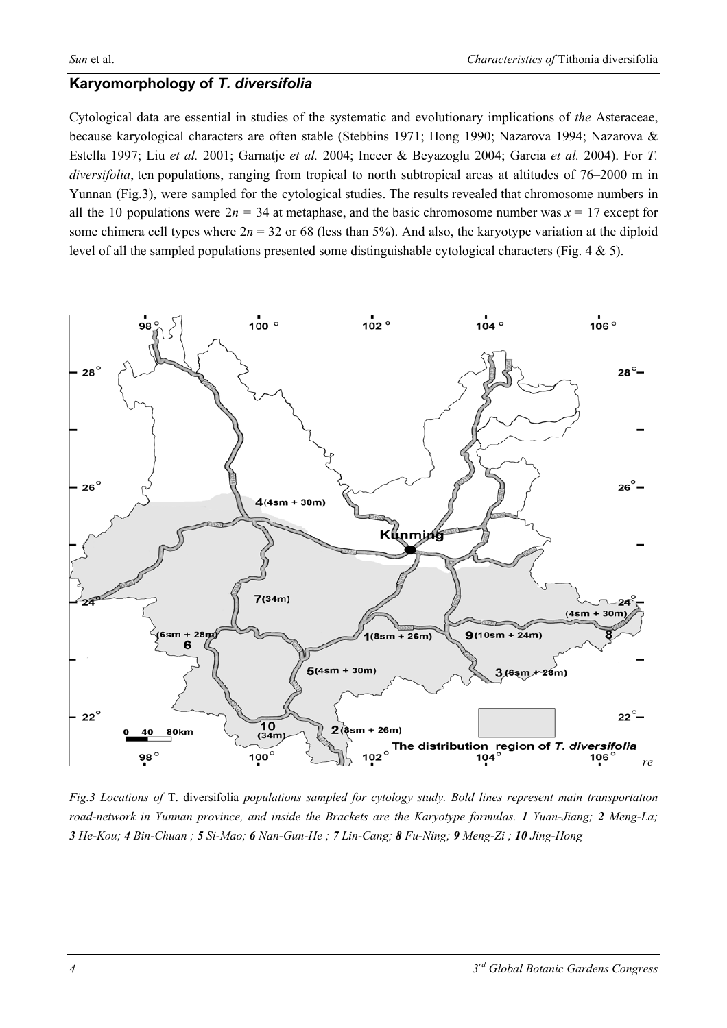#### **Karyomorphology of** *T. diversifolia*

Cytological data are essential in studies of the systematic and evolutionary implications of *the* Asteraceae, because karyological characters are often stable (Stebbins 1971; Hong 1990; Nazarova 1994; Nazarova & Estella 1997; Liu *et al.* 2001; Garnatje *et al.* 2004; Inceer & Beyazoglu 2004; Garcia *et al.* 2004). For *T. diversifolia*, ten populations, ranging from tropical to north subtropical areas at altitudes of 76–2000 m in Yunnan (Fig.3), were sampled for the cytological studies. The results revealed that chromosome numbers in all the 10 populations were  $2n = 34$  at metaphase, and the basic chromosome number was  $x = 17$  except for some chimera cell types where  $2n = 32$  or 68 (less than 5%). And also, the karyotype variation at the diploid level of all the sampled populations presented some distinguishable cytological characters (Fig. 4 & 5).



*Fig.3 Locations of* T. diversifolia *populations sampled for cytology study. Bold lines represent main transportation road-network in Yunnan province, and inside the Brackets are the Karyotype formulas. 1 Yuan-Jiang; 2 Meng-La; 3 He-Kou; 4 Bin-Chuan ; 5 Si-Mao; 6 Nan-Gun-He ; 7 Lin-Cang; 8 Fu-Ning; 9 Meng-Zi ; 10 Jing-Hong*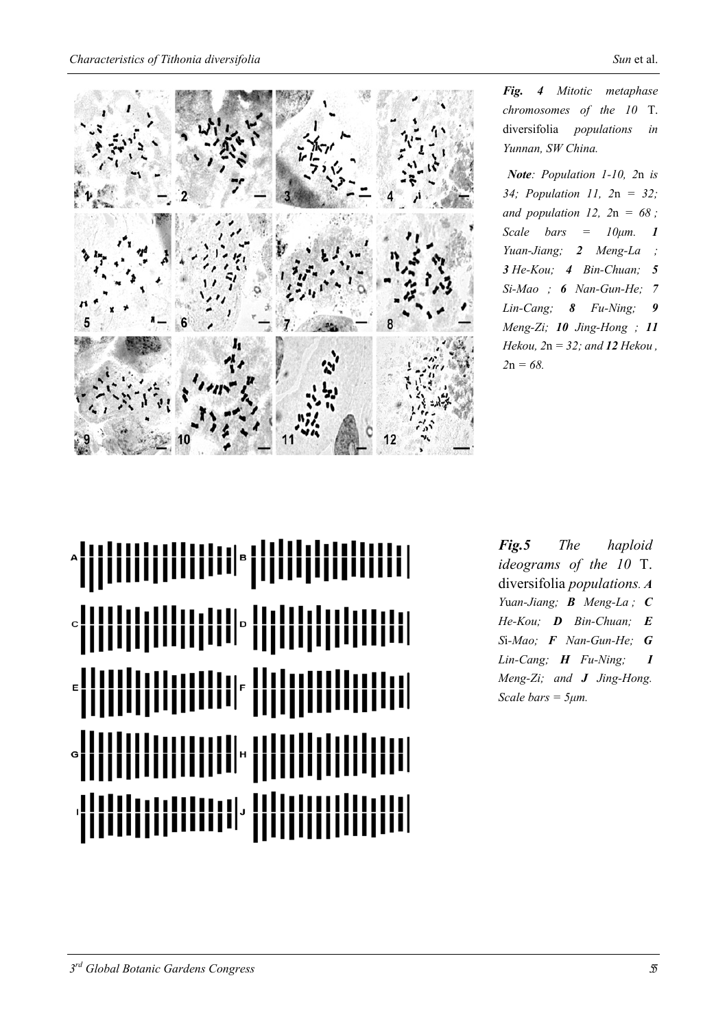

*Fig. 4 Mitotic metaphase chromosomes of the 10* T. diversifolia *populations in Yunnan, SW China.* 

*Note: Population 1-10, 2*n *is 34; Population 11, 2*n *= 32; and population 12, 2*n *= 68 ; Scale bars* =  $10 \mu m$ . **1** *Yuan-Jiang; 2 Meng-La ; 3 He-Kou; 4 Bin-Chuan; 5 Si-Mao ; 6 Nan-Gun-He; 7 Lin-Cang; 8 Fu-Ning; 9 Meng-Zi; 10 Jing-Hong ; 11 Hekou, 2*n *= 32; and 12 Hekou , 2*n *= 68.* 

╶╏╏╏╏╏╏╏╏╏╏╏╏╏╏╎**┆╎╎╎╎╎╎╎╏╏╏╏╏╏╏╏╏╏╏╏╎** <u>|||||||||||||||||||</u>

*Fig.5 The haploid ideograms of the 10* T. diversifolia *populations. A Y*u*an-Jiang; B Meng-La ; C He-Kou; D Bin-Chuan; E S*i*-Mao; F Nan-Gun-He; G Lin-Cang; H Fu-Ning; I Meng-Zi; and J Jing-Hong. Scale bars = 5µm.*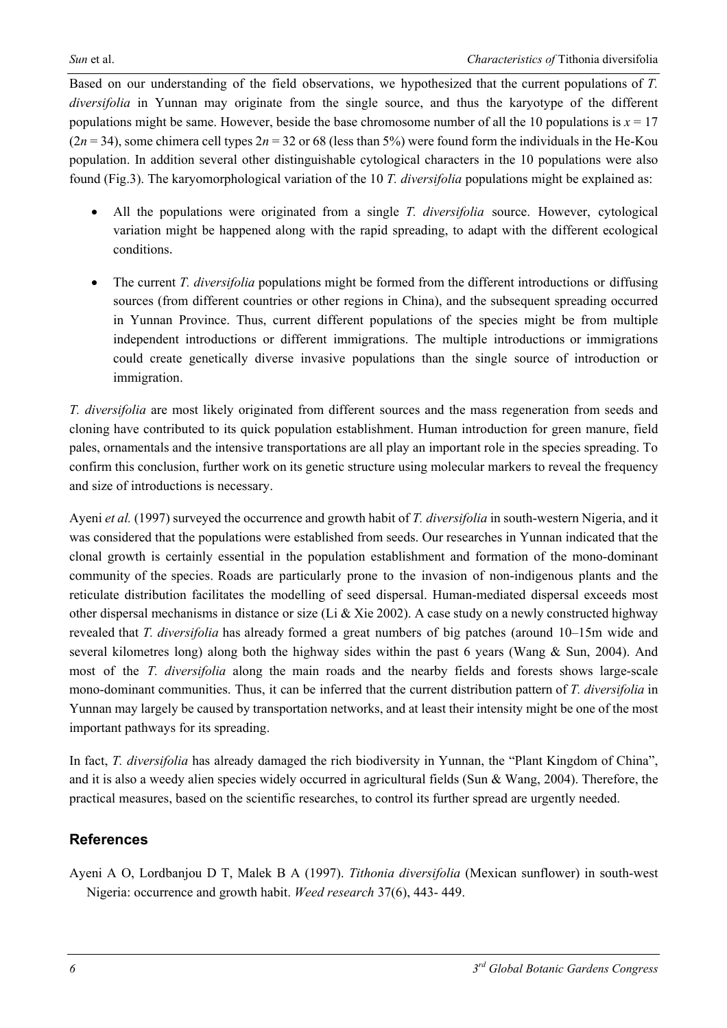Based on our understanding of the field observations, we hypothesized that the current populations of *T. diversifolia* in Yunnan may originate from the single source, and thus the karyotype of the different populations might be same. However, beside the base chromosome number of all the 10 populations is  $x = 17$  $(2n = 34)$ , some chimera cell types  $2n = 32$  or 68 (less than 5%) were found form the individuals in the He-Kou population. In addition several other distinguishable cytological characters in the 10 populations were also found (Fig.3). The karyomorphological variation of the 10 *T. diversifolia* populations might be explained as:

- All the populations were originated from a single *T. diversifolia* source. However, cytological variation might be happened along with the rapid spreading, to adapt with the different ecological conditions.
- The current *T. diversifolia* populations might be formed from the different introductions or diffusing sources (from different countries or other regions in China), and the subsequent spreading occurred in Yunnan Province. Thus, current different populations of the species might be from multiple independent introductions or different immigrations. The multiple introductions or immigrations could create genetically diverse invasive populations than the single source of introduction or immigration.

*T. diversifolia* are most likely originated from different sources and the mass regeneration from seeds and cloning have contributed to its quick population establishment. Human introduction for green manure, field pales, ornamentals and the intensive transportations are all play an important role in the species spreading. To confirm this conclusion, further work on its genetic structure using molecular markers to reveal the frequency and size of introductions is necessary.

Ayeni *et al.* (1997) surveyed the occurrence and growth habit of *T. diversifolia* in south-western Nigeria, and it was considered that the populations were established from seeds. Our researches in Yunnan indicated that the clonal growth is certainly essential in the population establishment and formation of the mono-dominant community of the species. Roads are particularly prone to the invasion of non-indigenous plants and the reticulate distribution facilitates the modelling of seed dispersal. Human-mediated dispersal exceeds most other dispersal mechanisms in distance or size (Li  $\&$  Xie 2002). A case study on a newly constructed highway revealed that *T. diversifolia* has already formed a great numbers of big patches (around 10–15m wide and several kilometres long) along both the highway sides within the past 6 years (Wang  $\&$  Sun, 2004). And most of the *T. diversifolia* along the main roads and the nearby fields and forests shows large-scale mono-dominant communities. Thus, it can be inferred that the current distribution pattern of *T. diversifolia* in Yunnan may largely be caused by transportation networks, and at least their intensity might be one of the most important pathways for its spreading.

In fact, *T. diversifolia* has already damaged the rich biodiversity in Yunnan, the "Plant Kingdom of China", and it is also a weedy alien species widely occurred in agricultural fields (Sun & Wang, 2004). Therefore, the practical measures, based on the scientific researches, to control its further spread are urgently needed.

## **References**

Ayeni A O, Lordbanjou D T, Malek B A (1997). *Tithonia diversifolia* (Mexican sunflower) in south-west Nigeria: occurrence and growth habit. *Weed research* 37(6), 443- 449.